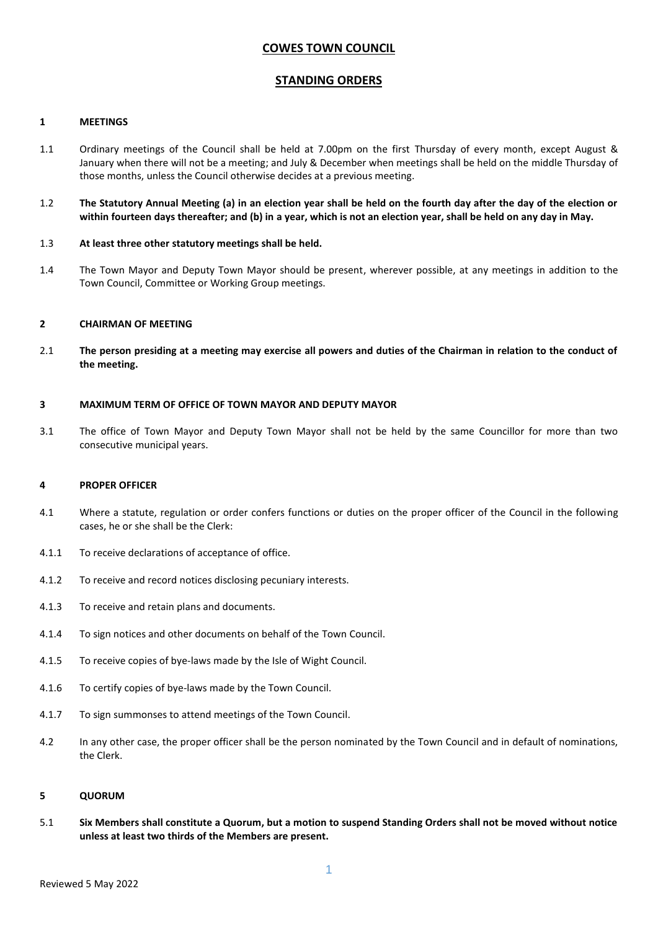# **COWES TOWN COUNCIL**

## **STANDING ORDERS**

## **1 MEETINGS**

- 1.1 Ordinary meetings of the Council shall be held at 7.00pm on the first Thursday of every month, except August & January when there will not be a meeting; and July & December when meetings shall be held on the middle Thursday of those months, unless the Council otherwise decides at a previous meeting.
- 1.2 **The Statutory Annual Meeting (a) in an election year shall be held on the fourth day after the day of the election or within fourteen days thereafter; and (b) in a year, which is not an election year, shall be held on any day in May.**

## 1.3 **At least three other statutory meetings shall be held.**

1.4 The Town Mayor and Deputy Town Mayor should be present, wherever possible, at any meetings in addition to the Town Council, Committee or Working Group meetings.

## **2 CHAIRMAN OF MEETING**

2.1 **The person presiding at a meeting may exercise all powers and duties of the Chairman in relation to the conduct of the meeting.**

### **3 MAXIMUM TERM OF OFFICE OF TOWN MAYOR AND DEPUTY MAYOR**

3.1 The office of Town Mayor and Deputy Town Mayor shall not be held by the same Councillor for more than two consecutive municipal years.

#### **4 PROPER OFFICER**

- 4.1 Where a statute, regulation or order confers functions or duties on the proper officer of the Council in the following cases, he or she shall be the Clerk:
- 4.1.1 To receive declarations of acceptance of office.
- 4.1.2 To receive and record notices disclosing pecuniary interests.
- 4.1.3 To receive and retain plans and documents.
- 4.1.4 To sign notices and other documents on behalf of the Town Council.
- 4.1.5 To receive copies of bye-laws made by the Isle of Wight Council.
- 4.1.6 To certify copies of bye-laws made by the Town Council.
- 4.1.7 To sign summonses to attend meetings of the Town Council.
- 4.2 In any other case, the proper officer shall be the person nominated by the Town Council and in default of nominations, the Clerk.

#### **5 QUORUM**

5.1 **Six Members shall constitute a Quorum, but a motion to suspend Standing Orders shall not be moved without notice unless at least two thirds of the Members are present.**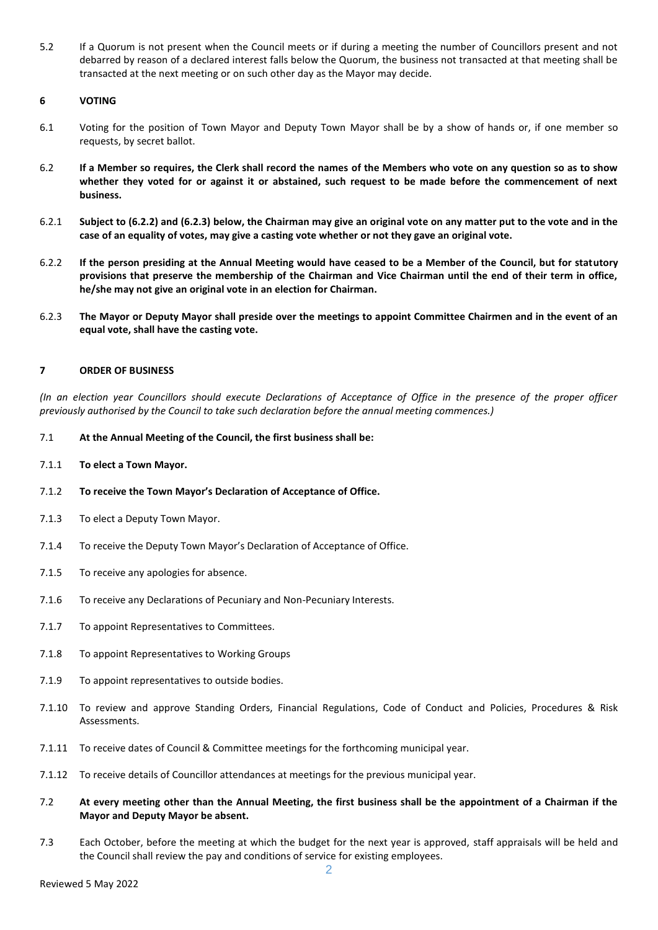5.2 If a Quorum is not present when the Council meets or if during a meeting the number of Councillors present and not debarred by reason of a declared interest falls below the Quorum, the business not transacted at that meeting shall be transacted at the next meeting or on such other day as the Mayor may decide.

## **6 VOTING**

- 6.1 Voting for the position of Town Mayor and Deputy Town Mayor shall be by a show of hands or, if one member so requests, by secret ballot.
- 6.2 **If a Member so requires, the Clerk shall record the names of the Members who vote on any question so as to show whether they voted for or against it or abstained, such request to be made before the commencement of next business.**
- 6.2.1 **Subject to (6.2.2) and (6.2.3) below, the Chairman may give an original vote on any matter put to the vote and in the case of an equality of votes, may give a casting vote whether or not they gave an original vote.**
- 6.2.2 **If the person presiding at the Annual Meeting would have ceased to be a Member of the Council, but for statutory provisions that preserve the membership of the Chairman and Vice Chairman until the end of their term in office, he/she may not give an original vote in an election for Chairman.**
- 6.2.3 **The Mayor or Deputy Mayor shall preside over the meetings to appoint Committee Chairmen and in the event of an equal vote, shall have the casting vote.**

## **7 ORDER OF BUSINESS**

*(In an election year Councillors should execute Declarations of Acceptance of Office in the presence of the proper officer previously authorised by the Council to take such declaration before the annual meeting commences.)*

- 7.1 **At the Annual Meeting of the Council, the first business shall be:**
- 7.1.1 **To elect a Town Mayor.**
- 7.1.2 **To receive the Town Mayor's Declaration of Acceptance of Office.**
- 7.1.3 To elect a Deputy Town Mayor.
- 7.1.4 To receive the Deputy Town Mayor's Declaration of Acceptance of Office.
- 7.1.5 To receive any apologies for absence.
- 7.1.6 To receive any Declarations of Pecuniary and Non-Pecuniary Interests.
- 7.1.7 To appoint Representatives to Committees.
- 7.1.8 To appoint Representatives to Working Groups
- 7.1.9 To appoint representatives to outside bodies.
- 7.1.10 To review and approve Standing Orders, Financial Regulations, Code of Conduct and Policies, Procedures & Risk Assessments.
- 7.1.11 To receive dates of Council & Committee meetings for the forthcoming municipal year.
- 7.1.12 To receive details of Councillor attendances at meetings for the previous municipal year.
- 7.2 **At every meeting other than the Annual Meeting, the first business shall be the appointment of a Chairman if the Mayor and Deputy Mayor be absent.**
- 7.3 Each October, before the meeting at which the budget for the next year is approved, staff appraisals will be held and the Council shall review the pay and conditions of service for existing employees.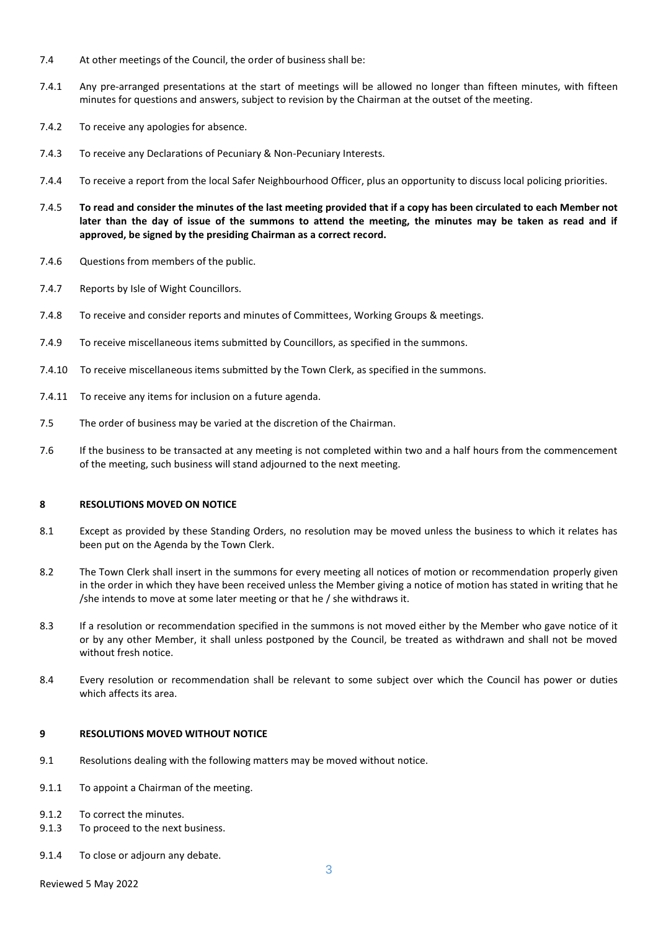- 7.4 At other meetings of the Council, the order of business shall be:
- 7.4.1 Any pre-arranged presentations at the start of meetings will be allowed no longer than fifteen minutes, with fifteen minutes for questions and answers, subject to revision by the Chairman at the outset of the meeting.
- 7.4.2 To receive any apologies for absence.
- 7.4.3 To receive any Declarations of Pecuniary & Non-Pecuniary Interests.
- 7.4.4 To receive a report from the local Safer Neighbourhood Officer, plus an opportunity to discuss local policing priorities.
- 7.4.5 **To read and consider the minutes of the last meeting provided that if a copy has been circulated to each Member not later than the day of issue of the summons to attend the meeting, the minutes may be taken as read and if approved, be signed by the presiding Chairman as a correct record.**
- 7.4.6 Questions from members of the public.
- 7.4.7 Reports by Isle of Wight Councillors.
- 7.4.8 To receive and consider reports and minutes of Committees, Working Groups & meetings.
- 7.4.9 To receive miscellaneous items submitted by Councillors, as specified in the summons.
- 7.4.10 To receive miscellaneous items submitted by the Town Clerk, as specified in the summons.
- 7.4.11 To receive any items for inclusion on a future agenda.
- 7.5 The order of business may be varied at the discretion of the Chairman.
- 7.6 If the business to be transacted at any meeting is not completed within two and a half hours from the commencement of the meeting, such business will stand adjourned to the next meeting.

#### **8 RESOLUTIONS MOVED ON NOTICE**

- 8.1 Except as provided by these Standing Orders, no resolution may be moved unless the business to which it relates has been put on the Agenda by the Town Clerk.
- 8.2 The Town Clerk shall insert in the summons for every meeting all notices of motion or recommendation properly given in the order in which they have been received unless the Member giving a notice of motion has stated in writing that he /she intends to move at some later meeting or that he / she withdraws it.
- 8.3 If a resolution or recommendation specified in the summons is not moved either by the Member who gave notice of it or by any other Member, it shall unless postponed by the Council, be treated as withdrawn and shall not be moved without fresh notice.
- 8.4 Every resolution or recommendation shall be relevant to some subject over which the Council has power or duties which affects its area.

## **9 RESOLUTIONS MOVED WITHOUT NOTICE**

- 9.1 Resolutions dealing with the following matters may be moved without notice.
- 9.1.1 To appoint a Chairman of the meeting.
- 9.1.2 To correct the minutes.
- 9.1.3 To proceed to the next business.
- 9.1.4 To close or adjourn any debate.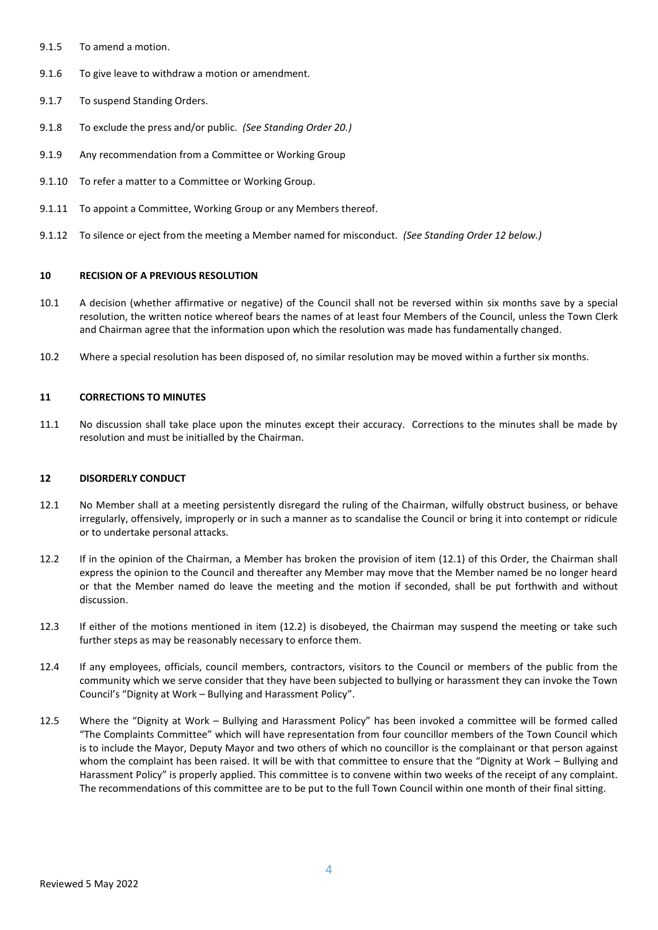- 9.1.5 To amend a motion.
- 9.1.6 To give leave to withdraw a motion or amendment.
- 9.1.7 To suspend Standing Orders.
- 9.1.8 To exclude the press and/or public. *(See Standing Order 20.)*
- 9.1.9 Any recommendation from a Committee or Working Group
- 9.1.10 To refer a matter to a Committee or Working Group.
- 9.1.11 To appoint a Committee, Working Group or any Members thereof.
- 9.1.12 To silence or eject from the meeting a Member named for misconduct. *(See Standing Order 12 below.)*

### **10 RECISION OF A PREVIOUS RESOLUTION**

- 10.1 A decision (whether affirmative or negative) of the Council shall not be reversed within six months save by a special resolution, the written notice whereof bears the names of at least four Members of the Council, unless the Town Clerk and Chairman agree that the information upon which the resolution was made has fundamentally changed.
- 10.2 Where a special resolution has been disposed of, no similar resolution may be moved within a further six months.

## **11 CORRECTIONS TO MINUTES**

11.1 No discussion shall take place upon the minutes except their accuracy. Corrections to the minutes shall be made by resolution and must be initialled by the Chairman.

### **12 DISORDERLY CONDUCT**

- 12.1 No Member shall at a meeting persistently disregard the ruling of the Chairman, wilfully obstruct business, or behave irregularly, offensively, improperly or in such a manner as to scandalise the Council or bring it into contempt or ridicule or to undertake personal attacks.
- 12.2 If in the opinion of the Chairman, a Member has broken the provision of item (12.1) of this Order, the Chairman shall express the opinion to the Council and thereafter any Member may move that the Member named be no longer heard or that the Member named do leave the meeting and the motion if seconded, shall be put forthwith and without discussion.
- 12.3 If either of the motions mentioned in item (12.2) is disobeyed, the Chairman may suspend the meeting or take such further steps as may be reasonably necessary to enforce them.
- 12.4 If any employees, officials, council members, contractors, visitors to the Council or members of the public from the community which we serve consider that they have been subjected to bullying or harassment they can invoke the Town Council's "Dignity at Work – Bullying and Harassment Policy".
- 12.5 Where the "Dignity at Work Bullying and Harassment Policy" has been invoked a committee will be formed called "The Complaints Committee" which will have representation from four councillor members of the Town Council which is to include the Mayor, Deputy Mayor and two others of which no councillor is the complainant or that person against whom the complaint has been raised. It will be with that committee to ensure that the "Dignity at Work – Bullying and Harassment Policy" is properly applied. This committee is to convene within two weeks of the receipt of any complaint. The recommendations of this committee are to be put to the full Town Council within one month of their final sitting.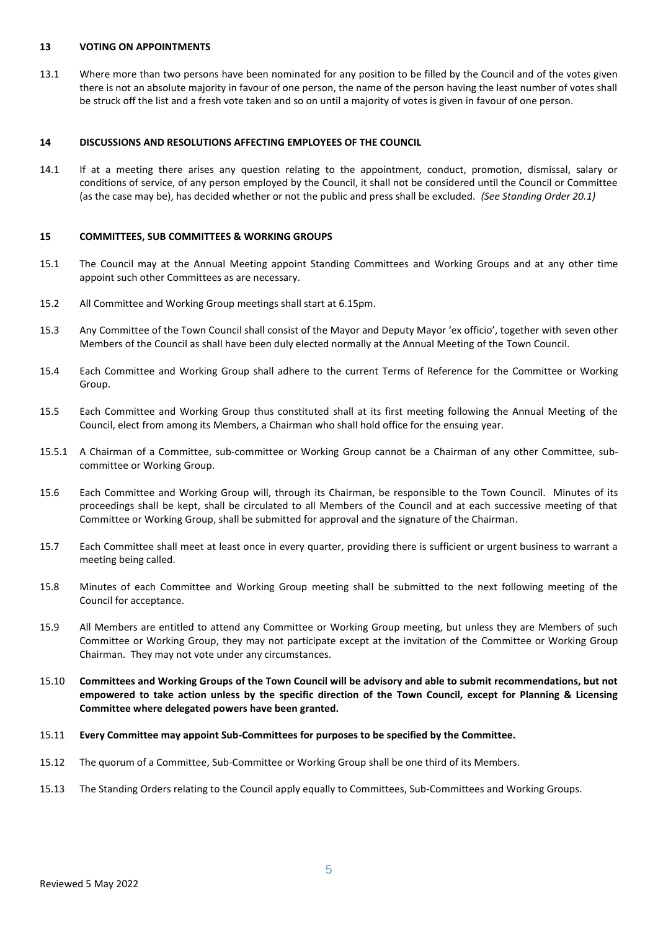### **13 VOTING ON APPOINTMENTS**

13.1 Where more than two persons have been nominated for any position to be filled by the Council and of the votes given there is not an absolute majority in favour of one person, the name of the person having the least number of votes shall be struck off the list and a fresh vote taken and so on until a majority of votes is given in favour of one person.

## **14 DISCUSSIONS AND RESOLUTIONS AFFECTING EMPLOYEES OF THE COUNCIL**

14.1 If at a meeting there arises any question relating to the appointment, conduct, promotion, dismissal, salary or conditions of service, of any person employed by the Council, it shall not be considered until the Council or Committee (as the case may be), has decided whether or not the public and press shall be excluded. *(See Standing Order 20.1)*

## **15 COMMITTEES, SUB COMMITTEES & WORKING GROUPS**

- 15.1 The Council may at the Annual Meeting appoint Standing Committees and Working Groups and at any other time appoint such other Committees as are necessary.
- 15.2 All Committee and Working Group meetings shall start at 6.15pm.
- 15.3 Any Committee of the Town Council shall consist of the Mayor and Deputy Mayor 'ex officio', together with seven other Members of the Council as shall have been duly elected normally at the Annual Meeting of the Town Council.
- 15.4 Each Committee and Working Group shall adhere to the current Terms of Reference for the Committee or Working Group.
- 15.5 Each Committee and Working Group thus constituted shall at its first meeting following the Annual Meeting of the Council, elect from among its Members, a Chairman who shall hold office for the ensuing year.
- 15.5.1 A Chairman of a Committee, sub-committee or Working Group cannot be a Chairman of any other Committee, subcommittee or Working Group.
- 15.6 Each Committee and Working Group will, through its Chairman, be responsible to the Town Council. Minutes of its proceedings shall be kept, shall be circulated to all Members of the Council and at each successive meeting of that Committee or Working Group, shall be submitted for approval and the signature of the Chairman.
- 15.7 Each Committee shall meet at least once in every quarter, providing there is sufficient or urgent business to warrant a meeting being called.
- 15.8 Minutes of each Committee and Working Group meeting shall be submitted to the next following meeting of the Council for acceptance.
- 15.9 All Members are entitled to attend any Committee or Working Group meeting, but unless they are Members of such Committee or Working Group, they may not participate except at the invitation of the Committee or Working Group Chairman. They may not vote under any circumstances.
- 15.10 **Committees and Working Groups of the Town Council will be advisory and able to submit recommendations, but not empowered to take action unless by the specific direction of the Town Council, except for Planning & Licensing Committee where delegated powers have been granted.**
- 15.11 **Every Committee may appoint Sub-Committees for purposes to be specified by the Committee.**
- 15.12 The quorum of a Committee, Sub-Committee or Working Group shall be one third of its Members.
- 15.13 The Standing Orders relating to the Council apply equally to Committees, Sub-Committees and Working Groups.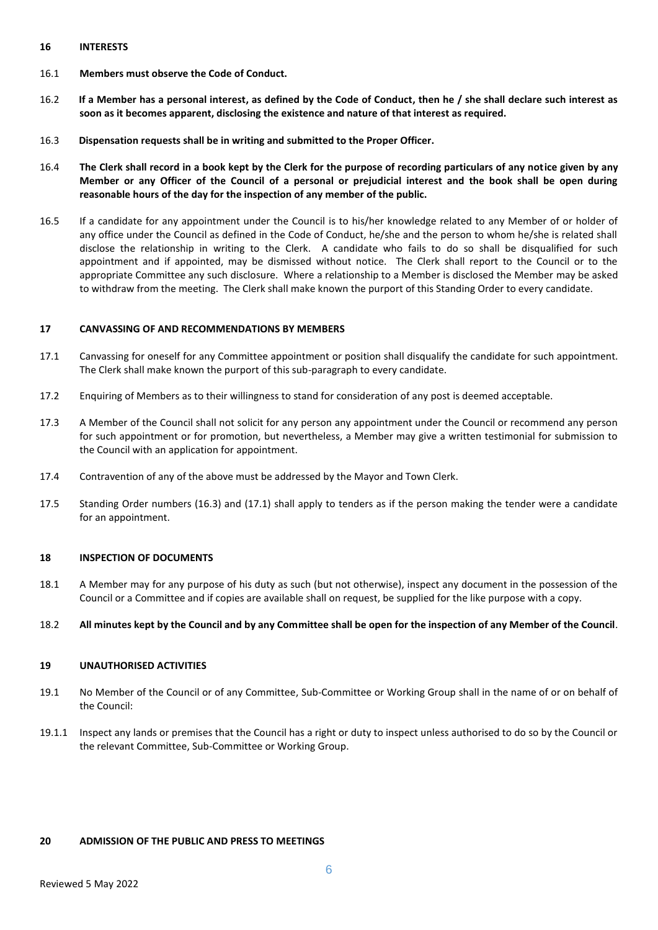## **16 INTERESTS**

- 16.1 **Members must observe the Code of Conduct.**
- 16.2 **If a Member has a personal interest, as defined by the Code of Conduct, then he / she shall declare such interest as soon as it becomes apparent, disclosing the existence and nature of that interest as required.**
- 16.3 **Dispensation requests shall be in writing and submitted to the Proper Officer.**
- 16.4 **The Clerk shall record in a book kept by the Clerk for the purpose of recording particulars of any notice given by any Member or any Officer of the Council of a personal or prejudicial interest and the book shall be open during reasonable hours of the day for the inspection of any member of the public.**
- 16.5 If a candidate for any appointment under the Council is to his/her knowledge related to any Member of or holder of any office under the Council as defined in the Code of Conduct, he/she and the person to whom he/she is related shall disclose the relationship in writing to the Clerk. A candidate who fails to do so shall be disqualified for such appointment and if appointed, may be dismissed without notice. The Clerk shall report to the Council or to the appropriate Committee any such disclosure. Where a relationship to a Member is disclosed the Member may be asked to withdraw from the meeting. The Clerk shall make known the purport of this Standing Order to every candidate.

## **17 CANVASSING OF AND RECOMMENDATIONS BY MEMBERS**

- 17.1 Canvassing for oneself for any Committee appointment or position shall disqualify the candidate for such appointment. The Clerk shall make known the purport of this sub-paragraph to every candidate.
- 17.2 Enquiring of Members as to their willingness to stand for consideration of any post is deemed acceptable.
- 17.3 A Member of the Council shall not solicit for any person any appointment under the Council or recommend any person for such appointment or for promotion, but nevertheless, a Member may give a written testimonial for submission to the Council with an application for appointment.
- 17.4 Contravention of any of the above must be addressed by the Mayor and Town Clerk.
- 17.5 Standing Order numbers (16.3) and (17.1) shall apply to tenders as if the person making the tender were a candidate for an appointment.

#### **18 INSPECTION OF DOCUMENTS**

18.1 A Member may for any purpose of his duty as such (but not otherwise), inspect any document in the possession of the Council or a Committee and if copies are available shall on request, be supplied for the like purpose with a copy.

#### 18.2 **All minutes kept by the Council and by any Committee shall be open for the inspection of any Member of the Council**.

#### **19 UNAUTHORISED ACTIVITIES**

- 19.1 No Member of the Council or of any Committee, Sub-Committee or Working Group shall in the name of or on behalf of the Council:
- 19.1.1 Inspect any lands or premises that the Council has a right or duty to inspect unless authorised to do so by the Council or the relevant Committee, Sub-Committee or Working Group.

## **20 ADMISSION OF THE PUBLIC AND PRESS TO MEETINGS**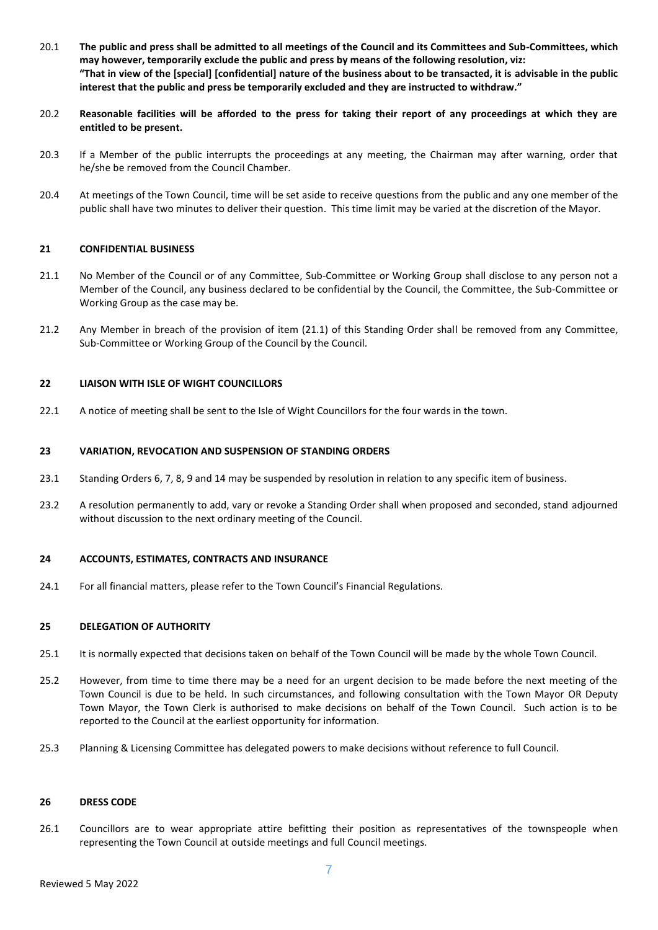- 20.1 **The public and press shall be admitted to all meetings of the Council and its Committees and Sub-Committees, which may however, temporarily exclude the public and press by means of the following resolution, viz: "That in view of the [special] [confidential] nature of the business about to be transacted, it is advisable in the public interest that the public and press be temporarily excluded and they are instructed to withdraw."**
- 20.2 **Reasonable facilities will be afforded to the press for taking their report of any proceedings at which they are entitled to be present.**
- 20.3 If a Member of the public interrupts the proceedings at any meeting, the Chairman may after warning, order that he/she be removed from the Council Chamber.
- 20.4 At meetings of the Town Council, time will be set aside to receive questions from the public and any one member of the public shall have two minutes to deliver their question. This time limit may be varied at the discretion of the Mayor.

## **21 CONFIDENTIAL BUSINESS**

- 21.1 No Member of the Council or of any Committee, Sub-Committee or Working Group shall disclose to any person not a Member of the Council, any business declared to be confidential by the Council, the Committee, the Sub-Committee or Working Group as the case may be.
- 21.2 Any Member in breach of the provision of item (21.1) of this Standing Order shall be removed from any Committee, Sub-Committee or Working Group of the Council by the Council.

## **22 LIAISON WITH ISLE OF WIGHT COUNCILLORS**

22.1 A notice of meeting shall be sent to the Isle of Wight Councillors for the four wards in the town.

## **23 VARIATION, REVOCATION AND SUSPENSION OF STANDING ORDERS**

- 23.1 Standing Orders 6, 7, 8, 9 and 14 may be suspended by resolution in relation to any specific item of business.
- 23.2 A resolution permanently to add, vary or revoke a Standing Order shall when proposed and seconded, stand adjourned without discussion to the next ordinary meeting of the Council.

#### **24 ACCOUNTS, ESTIMATES, CONTRACTS AND INSURANCE**

24.1 For all financial matters, please refer to the Town Council's Financial Regulations.

#### **25 DELEGATION OF AUTHORITY**

- 25.1 It is normally expected that decisions taken on behalf of the Town Council will be made by the whole Town Council.
- 25.2 However, from time to time there may be a need for an urgent decision to be made before the next meeting of the Town Council is due to be held. In such circumstances, and following consultation with the Town Mayor OR Deputy Town Mayor, the Town Clerk is authorised to make decisions on behalf of the Town Council. Such action is to be reported to the Council at the earliest opportunity for information.
- 25.3 Planning & Licensing Committee has delegated powers to make decisions without reference to full Council.

#### **26 DRESS CODE**

26.1 Councillors are to wear appropriate attire befitting their position as representatives of the townspeople when representing the Town Council at outside meetings and full Council meetings.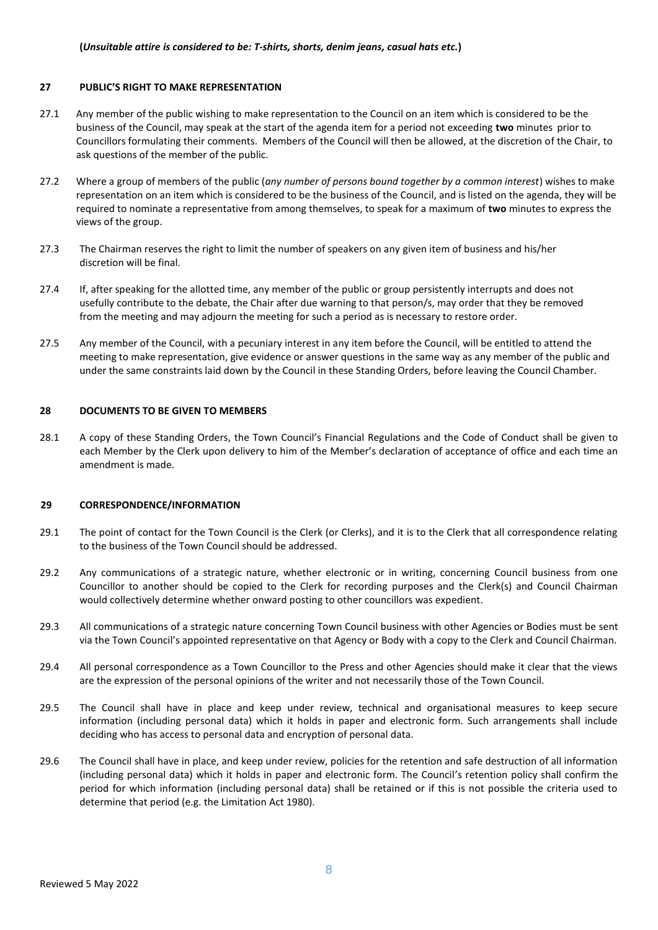### **27 PUBLIC'S RIGHT TO MAKE REPRESENTATION**

- 27.1 Any member of the public wishing to make representation to the Council on an item which is considered to be the business of the Council, may speak at the start of the agenda item for a period not exceeding **two** minutes prior to Councillors formulating their comments. Members of the Council will then be allowed, at the discretion of the Chair, to ask questions of the member of the public.
- 27.2 Where a group of members of the public (*any number of persons bound together by a common interest*) wishes to make representation on an item which is considered to be the business of the Council, and is listed on the agenda, they will be required to nominate a representative from among themselves, to speak for a maximum of **two** minutes to express the views of the group.
- 27.3 The Chairman reserves the right to limit the number of speakers on any given item of business and his/her discretion will be final.
- 27.4 If, after speaking for the allotted time, any member of the public or group persistently interrupts and does not usefully contribute to the debate, the Chair after due warning to that person/s, may order that they be removed from the meeting and may adjourn the meeting for such a period as is necessary to restore order.
- 27.5 Any member of the Council, with a pecuniary interest in any item before the Council, will be entitled to attend the meeting to make representation, give evidence or answer questions in the same way as any member of the public and under the same constraints laid down by the Council in these Standing Orders, before leaving the Council Chamber.

## **28 DOCUMENTS TO BE GIVEN TO MEMBERS**

28.1 A copy of these Standing Orders, the Town Council's Financial Regulations and the Code of Conduct shall be given to each Member by the Clerk upon delivery to him of the Member's declaration of acceptance of office and each time an amendment is made.

#### **29 CORRESPONDENCE/INFORMATION**

- 29.1 The point of contact for the Town Council is the Clerk (or Clerks), and it is to the Clerk that all correspondence relating to the business of the Town Council should be addressed.
- 29.2 Any communications of a strategic nature, whether electronic or in writing, concerning Council business from one Councillor to another should be copied to the Clerk for recording purposes and the Clerk(s) and Council Chairman would collectively determine whether onward posting to other councillors was expedient.
- 29.3 All communications of a strategic nature concerning Town Council business with other Agencies or Bodies must be sent via the Town Council's appointed representative on that Agency or Body with a copy to the Clerk and Council Chairman.
- 29.4 All personal correspondence as a Town Councillor to the Press and other Agencies should make it clear that the views are the expression of the personal opinions of the writer and not necessarily those of the Town Council.
- 29.5 The Council shall have in place and keep under review, technical and organisational measures to keep secure information (including personal data) which it holds in paper and electronic form. Such arrangements shall include deciding who has access to personal data and encryption of personal data.
- 29.6 The Council shall have in place, and keep under review, policies for the retention and safe destruction of all information (including personal data) which it holds in paper and electronic form. The Council's retention policy shall confirm the period for which information (including personal data) shall be retained or if this is not possible the criteria used to determine that period (e.g. the Limitation Act 1980).